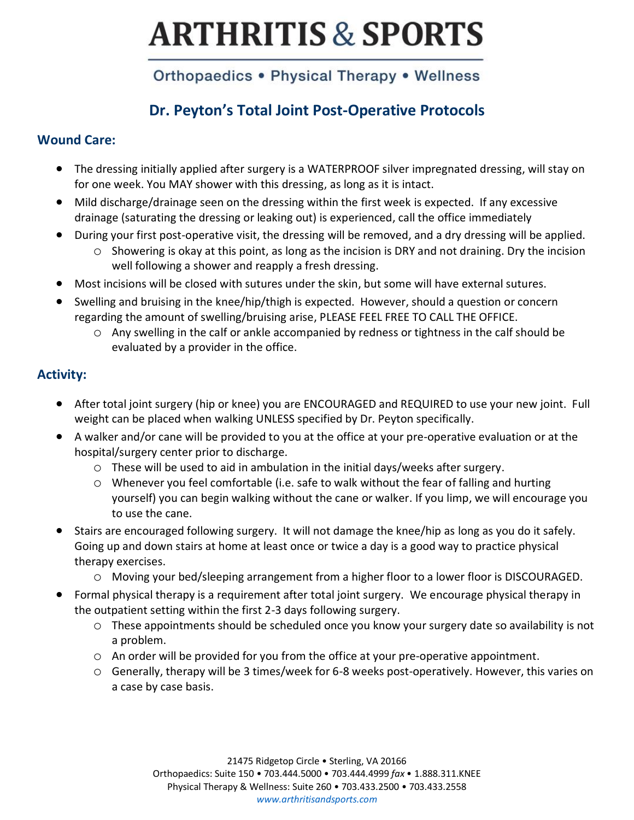## Orthopaedics . Physical Therapy . Wellness

## **Dr. Peyton's Total Joint Post-Operative Protocols**

#### **Wound Care:**

- The dressing initially applied after surgery is a WATERPROOF silver impregnated dressing, will stay on for one week. You MAY shower with this dressing, as long as it is intact.
- Mild discharge/drainage seen on the dressing within the first week is expected. If any excessive drainage (saturating the dressing or leaking out) is experienced, call the office immediately
- During your first post-operative visit, the dressing will be removed, and a dry dressing will be applied.
	- o Showering is okay at this point, as long as the incision is DRY and not draining. Dry the incision well following a shower and reapply a fresh dressing.
- Most incisions will be closed with sutures under the skin, but some will have external sutures.
- Swelling and bruising in the knee/hip/thigh is expected. However, should a question or concern regarding the amount of swelling/bruising arise, PLEASE FEEL FREE TO CALL THE OFFICE.
	- o Any swelling in the calf or ankle accompanied by redness or tightness in the calf should be evaluated by a provider in the office.

#### **Activity:**

- After total joint surgery (hip or knee) you are ENCOURAGED and REQUIRED to use your new joint. Full weight can be placed when walking UNLESS specified by Dr. Peyton specifically.
- A walker and/or cane will be provided to you at the office at your pre-operative evaluation or at the hospital/surgery center prior to discharge.
	- $\circ$  These will be used to aid in ambulation in the initial days/weeks after surgery.
	- o Whenever you feel comfortable (i.e. safe to walk without the fear of falling and hurting yourself) you can begin walking without the cane or walker. If you limp, we will encourage you to use the cane.
- Stairs are encouraged following surgery. It will not damage the knee/hip as long as you do it safely. Going up and down stairs at home at least once or twice a day is a good way to practice physical therapy exercises.
	- o Moving your bed/sleeping arrangement from a higher floor to a lower floor is DISCOURAGED.
- Formal physical therapy is a requirement after total joint surgery. We encourage physical therapy in the outpatient setting within the first 2-3 days following surgery.
	- o These appointments should be scheduled once you know your surgery date so availability is not a problem.
	- o An order will be provided for you from the office at your pre-operative appointment.
	- o Generally, therapy will be 3 times/week for 6-8 weeks post-operatively. However, this varies on a case by case basis.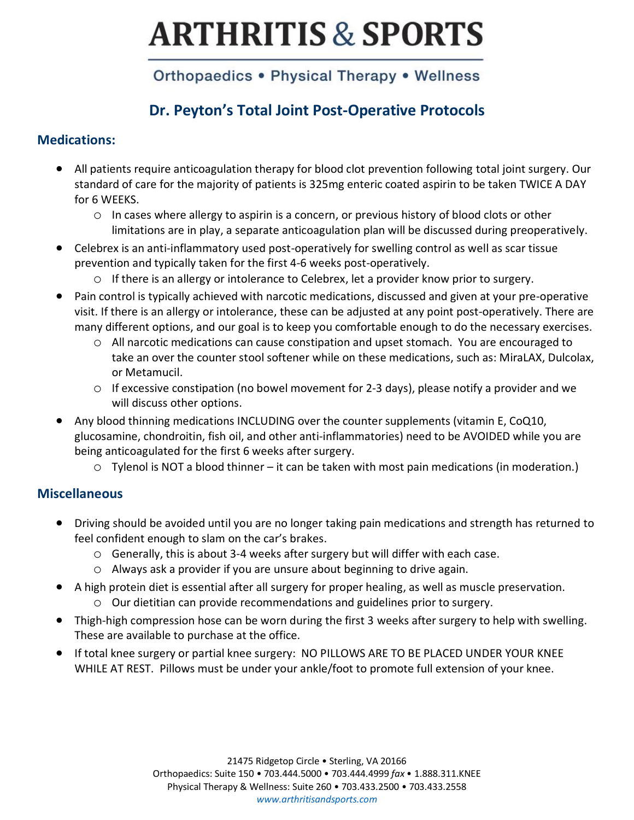## Orthopaedics . Physical Therapy . Wellness

### **Dr. Peyton's Total Joint Post-Operative Protocols**

#### **Medications:**

- All patients require anticoagulation therapy for blood clot prevention following total joint surgery. Our standard of care for the majority of patients is 325mg enteric coated aspirin to be taken TWICE A DAY for 6 WEEKS.
	- o In cases where allergy to aspirin is a concern, or previous history of blood clots or other limitations are in play, a separate anticoagulation plan will be discussed during preoperatively.
- Celebrex is an anti-inflammatory used post-operatively for swelling control as well as scar tissue prevention and typically taken for the first 4-6 weeks post-operatively.
	- o If there is an allergy or intolerance to Celebrex, let a provider know prior to surgery.
- Pain control is typically achieved with narcotic medications, discussed and given at your pre-operative visit. If there is an allergy or intolerance, these can be adjusted at any point post-operatively. There are many different options, and our goal is to keep you comfortable enough to do the necessary exercises.
	- o All narcotic medications can cause constipation and upset stomach. You are encouraged to take an over the counter stool softener while on these medications, such as: MiraLAX, Dulcolax, or Metamucil.
	- o If excessive constipation (no bowel movement for 2-3 days), please notify a provider and we will discuss other options.
- Any blood thinning medications INCLUDING over the counter supplements (vitamin E, CoQ10, glucosamine, chondroitin, fish oil, and other anti-inflammatories) need to be AVOIDED while you are being anticoagulated for the first 6 weeks after surgery.
	- o Tylenol is NOT a blood thinner it can be taken with most pain medications (in moderation.)

#### **Miscellaneous**

- Driving should be avoided until you are no longer taking pain medications and strength has returned to feel confident enough to slam on the car's brakes.
	- $\circ$  Generally, this is about 3-4 weeks after surgery but will differ with each case.
	- o Always ask a provider if you are unsure about beginning to drive again.
- A high protein diet is essential after all surgery for proper healing, as well as muscle preservation.
	- o Our dietitian can provide recommendations and guidelines prior to surgery.
- Thigh-high compression hose can be worn during the first 3 weeks after surgery to help with swelling. These are available to purchase at the office.
- If total knee surgery or partial knee surgery: NO PILLOWS ARE TO BE PLACED UNDER YOUR KNEE WHILE AT REST. Pillows must be under your ankle/foot to promote full extension of your knee.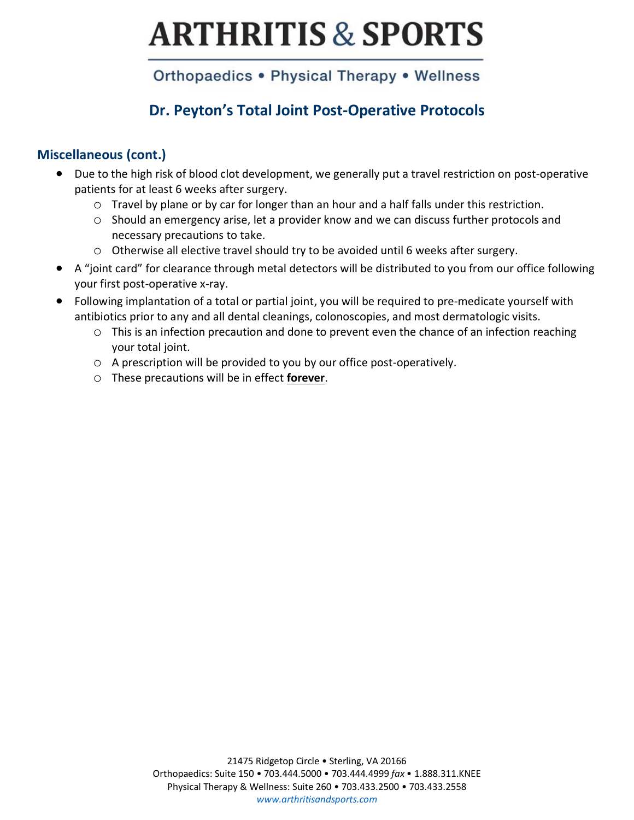### Orthopaedics . Physical Therapy . Wellness

### **Dr. Peyton's Total Joint Post-Operative Protocols**

#### **Miscellaneous (cont.)**

- Due to the high risk of blood clot development, we generally put a travel restriction on post-operative patients for at least 6 weeks after surgery.
	- o Travel by plane or by car for longer than an hour and a half falls under this restriction.
	- o Should an emergency arise, let a provider know and we can discuss further protocols and necessary precautions to take.
	- o Otherwise all elective travel should try to be avoided until 6 weeks after surgery.
- A "joint card" for clearance through metal detectors will be distributed to you from our office following your first post-operative x-ray.
- Following implantation of a total or partial joint, you will be required to pre-medicate yourself with antibiotics prior to any and all dental cleanings, colonoscopies, and most dermatologic visits.
	- $\circ$  This is an infection precaution and done to prevent even the chance of an infection reaching your total joint.
	- o A prescription will be provided to you by our office post-operatively.
	- o These precautions will be in effect **forever**.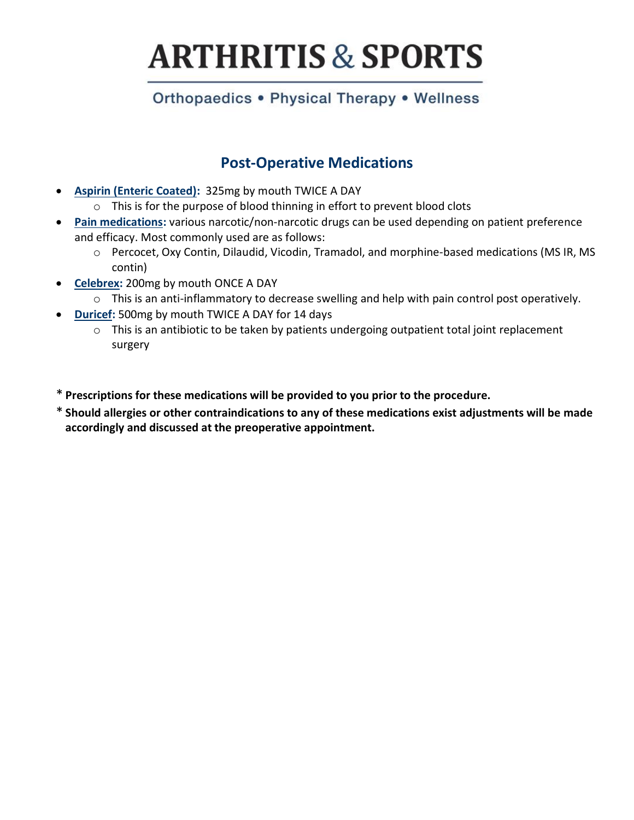### Orthopaedics • Physical Therapy • Wellness

### **Post-Operative Medications**

- **Aspirin (Enteric Coated):** 325mg by mouth TWICE A DAY
	- o This is for the purpose of blood thinning in effort to prevent blood clots
- **Pain medications:** various narcotic/non-narcotic drugs can be used depending on patient preference and efficacy. Most commonly used are as follows:
	- o Percocet, Oxy Contin, Dilaudid, Vicodin, Tramadol, and morphine-based medications (MS IR, MS contin)
- **Celebrex:** 200mg by mouth ONCE A DAY
	- o This is an anti-inflammatory to decrease swelling and help with pain control post operatively.
- **Duricef:** 500mg by mouth TWICE A DAY for 14 days
	- o This is an antibiotic to be taken by patients undergoing outpatient total joint replacement surgery
- \* **Prescriptions for these medications will be provided to you prior to the procedure.**
- \* **Should allergies or other contraindications to any of these medications exist adjustments will be made accordingly and discussed at the preoperative appointment.**